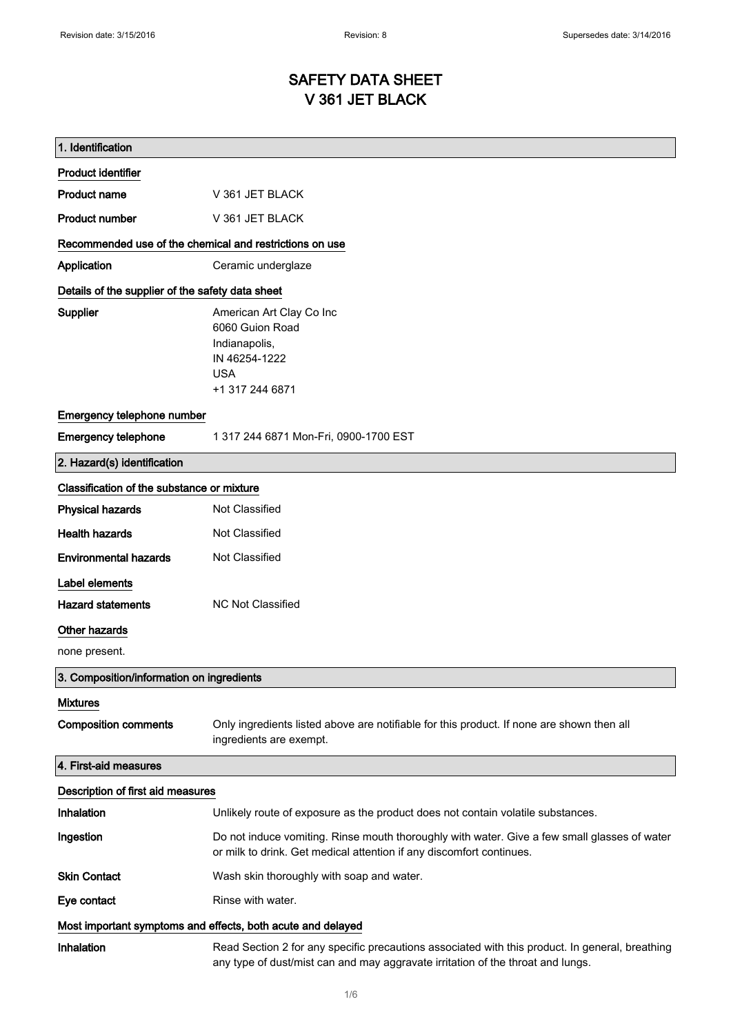# SAFETY DATA SHEET V 361 JET BLACK

| 1. Identification                                           |                                                                                                                                                                                    |  |
|-------------------------------------------------------------|------------------------------------------------------------------------------------------------------------------------------------------------------------------------------------|--|
| <b>Product identifier</b>                                   |                                                                                                                                                                                    |  |
| <b>Product name</b>                                         | V 361 JET BLACK                                                                                                                                                                    |  |
| <b>Product number</b>                                       | V 361 JET BLACK                                                                                                                                                                    |  |
| Recommended use of the chemical and restrictions on use     |                                                                                                                                                                                    |  |
| Application                                                 | Ceramic underglaze                                                                                                                                                                 |  |
| Details of the supplier of the safety data sheet            |                                                                                                                                                                                    |  |
| Supplier                                                    | American Art Clay Co Inc<br>6060 Guion Road<br>Indianapolis,<br>IN 46254-1222<br><b>USA</b><br>+1 317 244 6871                                                                     |  |
| Emergency telephone number                                  |                                                                                                                                                                                    |  |
| <b>Emergency telephone</b>                                  | 1 317 244 6871 Mon-Fri, 0900-1700 EST                                                                                                                                              |  |
| 2. Hazard(s) identification                                 |                                                                                                                                                                                    |  |
| Classification of the substance or mixture                  |                                                                                                                                                                                    |  |
| <b>Physical hazards</b>                                     | Not Classified                                                                                                                                                                     |  |
| <b>Health hazards</b>                                       | Not Classified                                                                                                                                                                     |  |
| <b>Environmental hazards</b>                                | Not Classified                                                                                                                                                                     |  |
| Label elements                                              |                                                                                                                                                                                    |  |
| <b>Hazard statements</b>                                    | <b>NC Not Classified</b>                                                                                                                                                           |  |
| Other hazards                                               |                                                                                                                                                                                    |  |
| none present.                                               |                                                                                                                                                                                    |  |
| 3. Composition/information on ingredients                   |                                                                                                                                                                                    |  |
| <b>Mixtures</b>                                             |                                                                                                                                                                                    |  |
| <b>Composition comments</b>                                 | Only ingredients listed above are notifiable for this product. If none are shown then all<br>ingredients are exempt.                                                               |  |
| 4. First-aid measures                                       |                                                                                                                                                                                    |  |
| Description of first aid measures                           |                                                                                                                                                                                    |  |
| Inhalation                                                  | Unlikely route of exposure as the product does not contain volatile substances.                                                                                                    |  |
| Ingestion                                                   | Do not induce vomiting. Rinse mouth thoroughly with water. Give a few small glasses of water<br>or milk to drink. Get medical attention if any discomfort continues.               |  |
| <b>Skin Contact</b>                                         | Wash skin thoroughly with soap and water.                                                                                                                                          |  |
| Eye contact                                                 | Rinse with water.                                                                                                                                                                  |  |
| Most important symptoms and effects, both acute and delayed |                                                                                                                                                                                    |  |
| Inhalation                                                  | Read Section 2 for any specific precautions associated with this product. In general, breathing<br>any type of dust/mist can and may aggravate irritation of the throat and lungs. |  |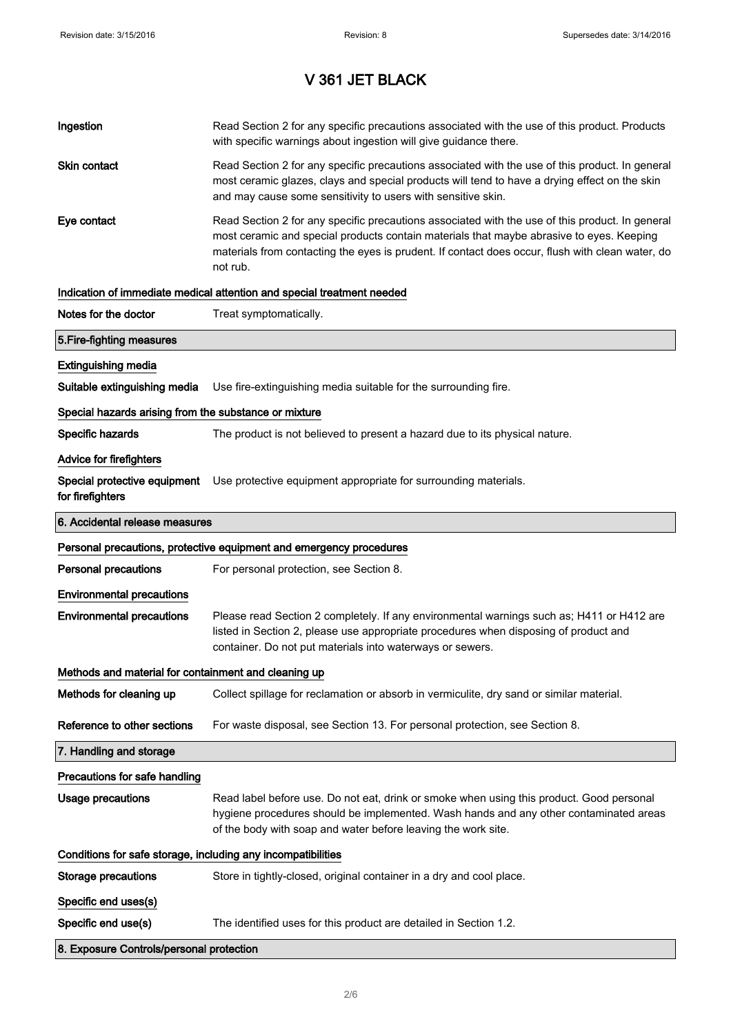| Ingestion                                                    | Read Section 2 for any specific precautions associated with the use of this product. Products<br>with specific warnings about ingestion will give guidance there.                                                                                                                                           |  |
|--------------------------------------------------------------|-------------------------------------------------------------------------------------------------------------------------------------------------------------------------------------------------------------------------------------------------------------------------------------------------------------|--|
| Skin contact                                                 | Read Section 2 for any specific precautions associated with the use of this product. In general<br>most ceramic glazes, clays and special products will tend to have a drying effect on the skin<br>and may cause some sensitivity to users with sensitive skin.                                            |  |
| Eye contact                                                  | Read Section 2 for any specific precautions associated with the use of this product. In general<br>most ceramic and special products contain materials that maybe abrasive to eyes. Keeping<br>materials from contacting the eyes is prudent. If contact does occur, flush with clean water, do<br>not rub. |  |
|                                                              | Indication of immediate medical attention and special treatment needed                                                                                                                                                                                                                                      |  |
| Notes for the doctor                                         | Treat symptomatically.                                                                                                                                                                                                                                                                                      |  |
| 5. Fire-fighting measures                                    |                                                                                                                                                                                                                                                                                                             |  |
| <b>Extinguishing media</b>                                   |                                                                                                                                                                                                                                                                                                             |  |
| Suitable extinguishing media                                 | Use fire-extinguishing media suitable for the surrounding fire.                                                                                                                                                                                                                                             |  |
| Special hazards arising from the substance or mixture        |                                                                                                                                                                                                                                                                                                             |  |
| Specific hazards                                             | The product is not believed to present a hazard due to its physical nature.                                                                                                                                                                                                                                 |  |
| <b>Advice for firefighters</b>                               |                                                                                                                                                                                                                                                                                                             |  |
| Special protective equipment<br>for firefighters             | Use protective equipment appropriate for surrounding materials.                                                                                                                                                                                                                                             |  |
| 6. Accidental release measures                               |                                                                                                                                                                                                                                                                                                             |  |
|                                                              | Personal precautions, protective equipment and emergency procedures                                                                                                                                                                                                                                         |  |
| <b>Personal precautions</b>                                  | For personal protection, see Section 8.                                                                                                                                                                                                                                                                     |  |
| <b>Environmental precautions</b>                             |                                                                                                                                                                                                                                                                                                             |  |
| <b>Environmental precautions</b>                             | Please read Section 2 completely. If any environmental warnings such as; H411 or H412 are<br>listed in Section 2, please use appropriate procedures when disposing of product and<br>container. Do not put materials into waterways or sewers.                                                              |  |
| Methods and material for containment and cleaning up         |                                                                                                                                                                                                                                                                                                             |  |
| Methods for cleaning up                                      | Collect spillage for reclamation or absorb in vermiculite, dry sand or similar material.                                                                                                                                                                                                                    |  |
| Reference to other sections                                  | For waste disposal, see Section 13. For personal protection, see Section 8.                                                                                                                                                                                                                                 |  |
| 7. Handling and storage                                      |                                                                                                                                                                                                                                                                                                             |  |
| Precautions for safe handling                                |                                                                                                                                                                                                                                                                                                             |  |
| Usage precautions                                            | Read label before use. Do not eat, drink or smoke when using this product. Good personal<br>hygiene procedures should be implemented. Wash hands and any other contaminated areas<br>of the body with soap and water before leaving the work site.                                                          |  |
| Conditions for safe storage, including any incompatibilities |                                                                                                                                                                                                                                                                                                             |  |
| <b>Storage precautions</b>                                   | Store in tightly-closed, original container in a dry and cool place.                                                                                                                                                                                                                                        |  |
|                                                              |                                                                                                                                                                                                                                                                                                             |  |
| Specific end uses(s)                                         |                                                                                                                                                                                                                                                                                                             |  |
| Specific end use(s)                                          | The identified uses for this product are detailed in Section 1.2.                                                                                                                                                                                                                                           |  |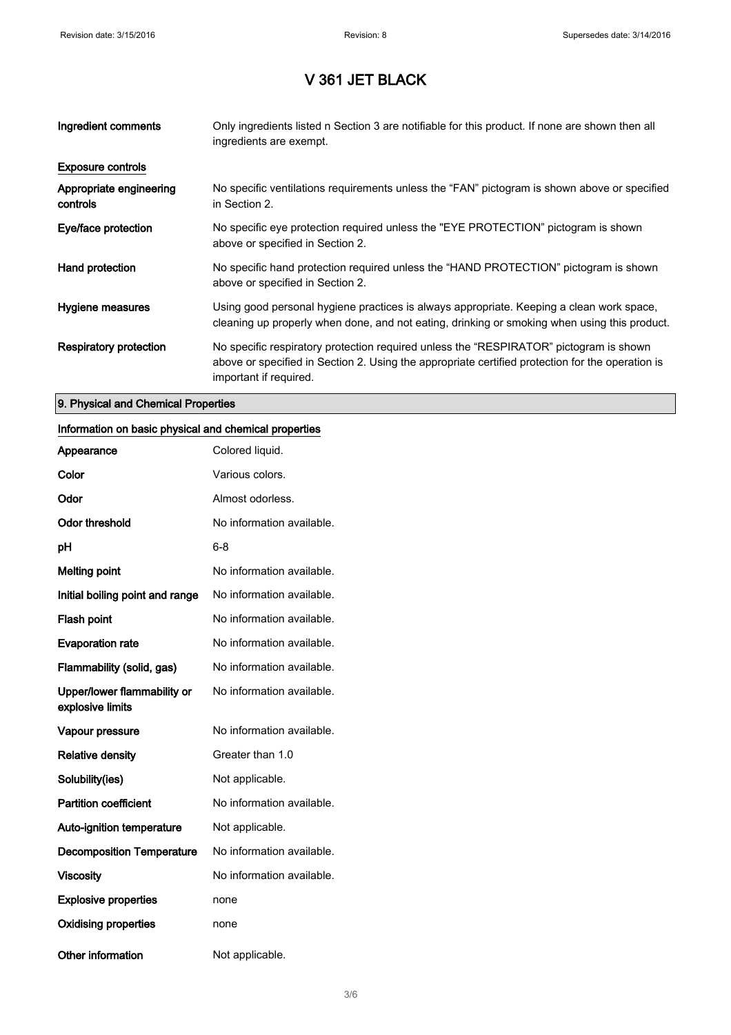| Ingredient comments                 | Only ingredients listed n Section 3 are notifiable for this product. If none are shown then all<br>ingredients are exempt.                                                                                           |
|-------------------------------------|----------------------------------------------------------------------------------------------------------------------------------------------------------------------------------------------------------------------|
| <b>Exposure controls</b>            |                                                                                                                                                                                                                      |
| Appropriate engineering<br>controls | No specific ventilations requirements unless the "FAN" pictogram is shown above or specified<br>in Section 2.                                                                                                        |
| Eye/face protection                 | No specific eye protection required unless the "EYE PROTECTION" pictogram is shown<br>above or specified in Section 2.                                                                                               |
| Hand protection                     | No specific hand protection required unless the "HAND PROTECTION" pictogram is shown<br>above or specified in Section 2.                                                                                             |
| Hygiene measures                    | Using good personal hygiene practices is always appropriate. Keeping a clean work space,<br>cleaning up properly when done, and not eating, drinking or smoking when using this product.                             |
| Respiratory protection              | No specific respiratory protection required unless the "RESPIRATOR" pictogram is shown<br>above or specified in Section 2. Using the appropriate certified protection for the operation is<br>important if required. |

#### 9. Physical and Chemical Properties

#### Information on basic physical and chemical properties

| Appearance                                      | Colored liquid.           |
|-------------------------------------------------|---------------------------|
| Color                                           | Various colors.           |
| Odor                                            | Almost odorless.          |
| <b>Odor threshold</b>                           | No information available. |
| рH                                              | 6-8                       |
| <b>Melting point</b>                            | No information available. |
| Initial boiling point and range                 | No information available. |
| <b>Flash point</b>                              | No information available. |
| <b>Evaporation rate</b>                         | No information available. |
| Flammability (solid, gas)                       | No information available. |
| Upper/lower flammability or<br>explosive limits | No information available. |
| Vapour pressure                                 | No information available. |
| <b>Relative density</b>                         | Greater than 1.0          |
| Solubility(ies)                                 | Not applicable.           |
| <b>Partition coefficient</b>                    | No information available. |
| <b>Auto-ignition temperature</b>                | Not applicable.           |
| <b>Decomposition Temperature</b>                | No information available. |
| <b>Viscosity</b>                                | No information available. |
| <b>Explosive properties</b>                     | none                      |
| <b>Oxidising properties</b>                     | none                      |
| <b>Other information</b>                        | Not applicable.           |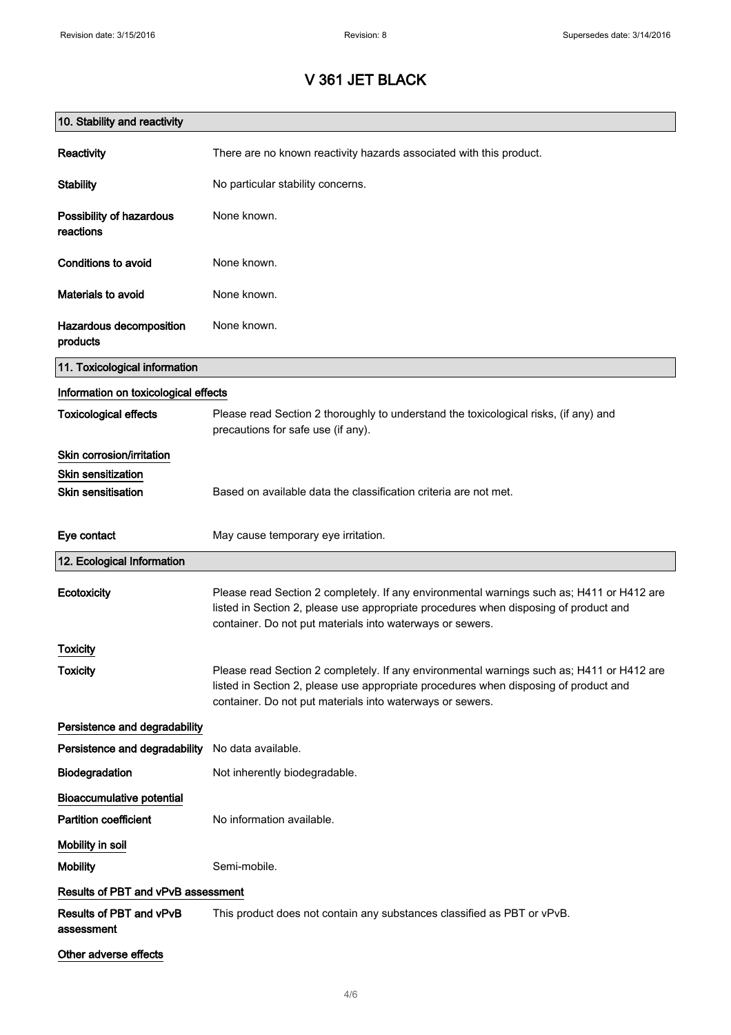| 10. Stability and reactivity          |                                                                                                                                                                                                                                                |
|---------------------------------------|------------------------------------------------------------------------------------------------------------------------------------------------------------------------------------------------------------------------------------------------|
| Reactivity                            | There are no known reactivity hazards associated with this product.                                                                                                                                                                            |
| <b>Stability</b>                      | No particular stability concerns.                                                                                                                                                                                                              |
| Possibility of hazardous<br>reactions | None known.                                                                                                                                                                                                                                    |
| <b>Conditions to avoid</b>            | None known.                                                                                                                                                                                                                                    |
| Materials to avoid                    | None known.                                                                                                                                                                                                                                    |
| Hazardous decomposition<br>products   | None known.                                                                                                                                                                                                                                    |
| 11. Toxicological information         |                                                                                                                                                                                                                                                |
| Information on toxicological effects  |                                                                                                                                                                                                                                                |
| <b>Toxicological effects</b>          | Please read Section 2 thoroughly to understand the toxicological risks, (if any) and<br>precautions for safe use (if any).                                                                                                                     |
| Skin corrosion/irritation             |                                                                                                                                                                                                                                                |
| <b>Skin sensitization</b>             |                                                                                                                                                                                                                                                |
| <b>Skin sensitisation</b>             | Based on available data the classification criteria are not met.                                                                                                                                                                               |
| Eye contact                           | May cause temporary eye irritation.                                                                                                                                                                                                            |
| 12. Ecological Information            |                                                                                                                                                                                                                                                |
| Ecotoxicity                           | Please read Section 2 completely. If any environmental warnings such as; H411 or H412 are<br>listed in Section 2, please use appropriate procedures when disposing of product and<br>container. Do not put materials into waterways or sewers. |
| Toxicity                              |                                                                                                                                                                                                                                                |
| <b>Toxicity</b>                       | Please read Section 2 completely. If any environmental warnings such as; H411 or H412 are<br>listed in Section 2, please use appropriate procedures when disposing of product and<br>container. Do not put materials into waterways or sewers. |
| Persistence and degradability         |                                                                                                                                                                                                                                                |
| Persistence and degradability         | No data available.                                                                                                                                                                                                                             |
| Biodegradation                        | Not inherently biodegradable.                                                                                                                                                                                                                  |
| <b>Bioaccumulative potential</b>      |                                                                                                                                                                                                                                                |
| <b>Partition coefficient</b>          | No information available.                                                                                                                                                                                                                      |
| Mobility in soil                      |                                                                                                                                                                                                                                                |
| <b>Mobility</b>                       | Semi-mobile.                                                                                                                                                                                                                                   |
| Results of PBT and vPvB assessment    |                                                                                                                                                                                                                                                |
| Results of PBT and vPvB<br>assessment | This product does not contain any substances classified as PBT or vPvB.                                                                                                                                                                        |
| Other adverse effects                 |                                                                                                                                                                                                                                                |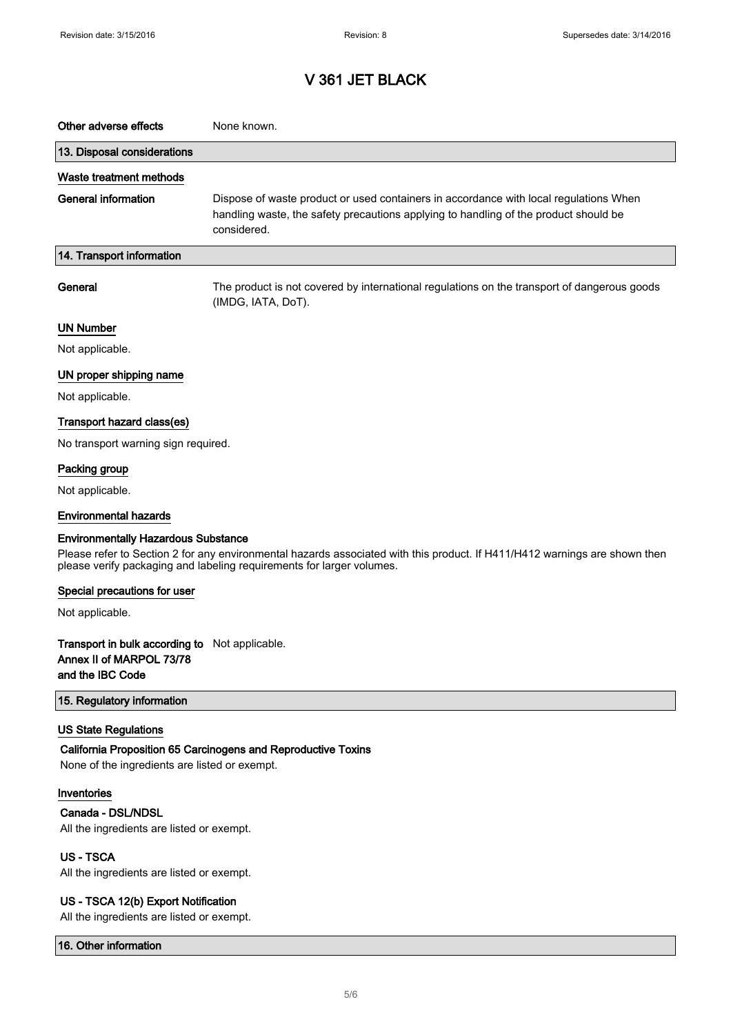| Other adverse effects                                                                                                                                                                                                                             | None known.                                                                                                                                                                                  |
|---------------------------------------------------------------------------------------------------------------------------------------------------------------------------------------------------------------------------------------------------|----------------------------------------------------------------------------------------------------------------------------------------------------------------------------------------------|
| 13. Disposal considerations                                                                                                                                                                                                                       |                                                                                                                                                                                              |
| Waste treatment methods                                                                                                                                                                                                                           |                                                                                                                                                                                              |
| <b>General information</b>                                                                                                                                                                                                                        | Dispose of waste product or used containers in accordance with local regulations When<br>handling waste, the safety precautions applying to handling of the product should be<br>considered. |
| 14. Transport information                                                                                                                                                                                                                         |                                                                                                                                                                                              |
| General                                                                                                                                                                                                                                           | The product is not covered by international regulations on the transport of dangerous goods<br>(IMDG, IATA, DoT).                                                                            |
| <b>UN Number</b>                                                                                                                                                                                                                                  |                                                                                                                                                                                              |
| Not applicable.                                                                                                                                                                                                                                   |                                                                                                                                                                                              |
| UN proper shipping name                                                                                                                                                                                                                           |                                                                                                                                                                                              |
| Not applicable.                                                                                                                                                                                                                                   |                                                                                                                                                                                              |
| Transport hazard class(es)                                                                                                                                                                                                                        |                                                                                                                                                                                              |
| No transport warning sign required.                                                                                                                                                                                                               |                                                                                                                                                                                              |
| Packing group                                                                                                                                                                                                                                     |                                                                                                                                                                                              |
| Not applicable.                                                                                                                                                                                                                                   |                                                                                                                                                                                              |
| <b>Environmental hazards</b>                                                                                                                                                                                                                      |                                                                                                                                                                                              |
| <b>Environmentally Hazardous Substance</b><br>Please refer to Section 2 for any environmental hazards associated with this product. If H411/H412 warnings are shown then<br>please verify packaging and labeling requirements for larger volumes. |                                                                                                                                                                                              |
| Special precautions for user                                                                                                                                                                                                                      |                                                                                                                                                                                              |
| Not applicable.                                                                                                                                                                                                                                   |                                                                                                                                                                                              |
| Transport in bulk according to Not applicable.<br>Annex II of MARPOL 73/78<br>and the IBC Code                                                                                                                                                    |                                                                                                                                                                                              |
| 15. Regulatory information                                                                                                                                                                                                                        |                                                                                                                                                                                              |
| <b>US State Regulations</b><br>None of the ingredients are listed or exempt.                                                                                                                                                                      | California Proposition 65 Carcinogens and Reproductive Toxins                                                                                                                                |
| Inventories<br>Canada - DSL/NDSL<br>All the ingredients are listed or exempt.                                                                                                                                                                     |                                                                                                                                                                                              |
| <b>US-TSCA</b><br>All the ingredients are listed or exempt.                                                                                                                                                                                       |                                                                                                                                                                                              |
| US - TSCA 12(b) Export Notification                                                                                                                                                                                                               |                                                                                                                                                                                              |

All the ingredients are listed or exempt.

16. Other information